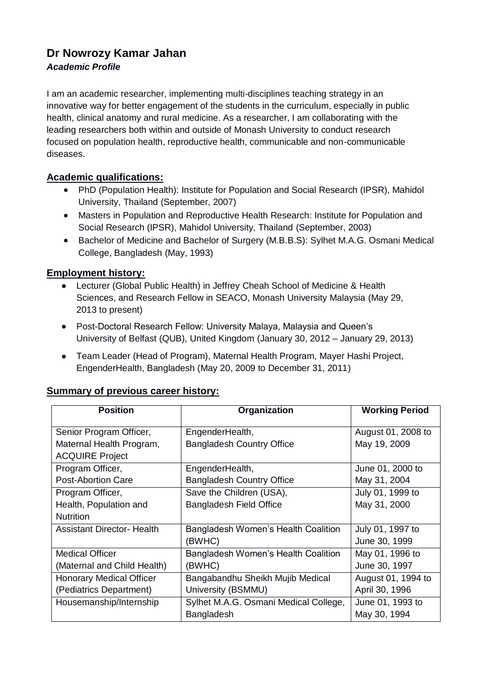# **Dr Nowrozy Kamar Jahan**  *Academic Profile*

I am an academic researcher, implementing multi-disciplines teaching strategy in an innovative way for better engagement of the students in the curriculum, especially in public health, clinical anatomy and rural medicine. As a researcher, I am collaborating with the leading researchers both within and outside of Monash University to conduct research focused on population health, reproductive health, communicable and non-communicable diseases.

# **Academic qualifications:**

- PhD (Population Health): Institute for Population and Social Research (IPSR), Mahidol University, Thailand (September, 2007)
- Masters in Population and Reproductive Health Research: Institute for Population and Social Research (IPSR), Mahidol University, Thailand (September, 2003)
- Bachelor of Medicine and Bachelor of Surgery (M.B.B.S): Sylhet M.A.G. Osmani Medical College, Bangladesh (May, 1993)

# **Employment history:**

- Lecturer (Global Public Health) in Jeffrey Cheah School of Medicine & Health Sciences, and Research Fellow in SEACO, Monash University Malaysia (May 29, 2013 to present)
- Post-Doctoral Research Fellow: University Malaya, Malaysia and Queen's University of Belfast (QUB), United Kingdom (January 30, 2012 – January 29, 2013)
- Team Leader (Head of Program), Maternal Health Program, Mayer Hashi Project, EngenderHealth, Bangladesh (May 20, 2009 to December 31, 2011)

# **Summary of previous career history:**

| <b>Position</b>                   | Organization                          | <b>Working Period</b> |  |
|-----------------------------------|---------------------------------------|-----------------------|--|
|                                   |                                       |                       |  |
| Senior Program Officer,           | EngenderHealth,                       | August 01, 2008 to    |  |
| Maternal Health Program,          | <b>Bangladesh Country Office</b>      | May 19, 2009          |  |
| <b>ACQUIRE Project</b>            |                                       |                       |  |
| Program Officer,                  | EngenderHealth,                       | June 01, 2000 to      |  |
| <b>Post-Abortion Care</b>         | <b>Bangladesh Country Office</b>      | May 31, 2004          |  |
| Program Officer,                  | Save the Children (USA),              | July 01, 1999 to      |  |
| Health, Population and            | <b>Bangladesh Field Office</b>        | May 31, 2000          |  |
| <b>Nutrition</b>                  |                                       |                       |  |
| <b>Assistant Director- Health</b> | Bangladesh Women's Health Coalition   | July 01, 1997 to      |  |
|                                   | (BWHC)                                | June 30, 1999         |  |
| <b>Medical Officer</b>            | Bangladesh Women's Health Coalition   | May 01, 1996 to       |  |
| (Maternal and Child Health)       | (BWHC)                                | June 30, 1997         |  |
| <b>Honorary Medical Officer</b>   | Bangabandhu Sheikh Mujib Medical      | August 01, 1994 to    |  |
| (Pediatrics Department)           | University (BSMMU)                    | April 30, 1996        |  |
| Housemanship/Internship           | Sylhet M.A.G. Osmani Medical College, | June 01, 1993 to      |  |
|                                   | Bangladesh                            | May 30, 1994          |  |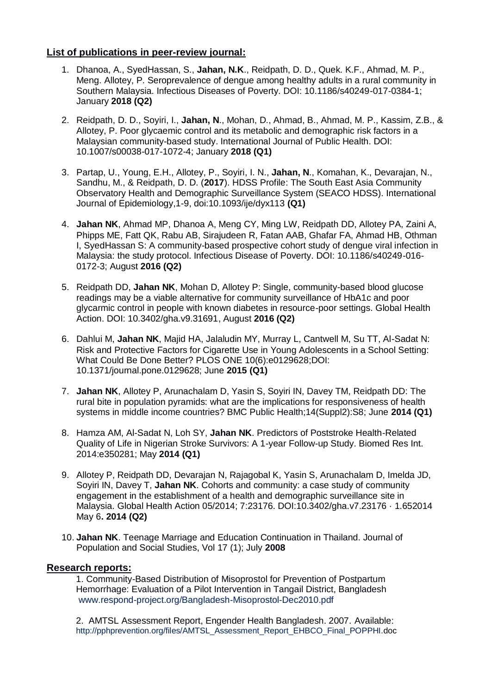#### **List of publications in peer-review journal:**

- 1. Dhanoa, A., SyedHassan, S., **Jahan, N.K**., Reidpath, D. D., Quek. K.F., Ahmad, M. P., Meng. Allotey, P. Seroprevalence of dengue among healthy adults in a rural community in Southern Malaysia. Infectious Diseases of Poverty. DOI: 10.1186/s40249-017-0384-1; January **2018 (Q2)**
- 2. Reidpath, D. D., Soyiri, I., **Jahan, N**., Mohan, D., Ahmad, B., Ahmad, M. P., Kassim, Z.B., & Allotey, P. Poor glycaemic control and its metabolic and demographic risk factors in a Malaysian community-based study. International Journal of Public Health. DOI: 10.1007/s00038-017-1072-4; January **2018 (Q1)**
- 3. Partap, U., Young, E.H., Allotey, P., Soyiri, I. N., **Jahan, N**., Komahan, K., Devarajan, N., Sandhu, M., & Reidpath, D. D. (**2017**). HDSS Profile: The South East Asia Community Observatory Health and Demographic Surveillance System (SEACO HDSS). International Journal of Epidemiology,1-9, doi:10.1093/ije/dyx113 **(Q1)**
- 4. **Jahan NK**, Ahmad MP, Dhanoa A, Meng CY, Ming LW, Reidpath DD, Allotey PA, Zaini A, Phipps ME, Fatt QK, Rabu AB, Sirajudeen R, Fatan AAB, Ghafar FA, Ahmad HB, Othman I, SyedHassan S: A community-based prospective cohort study of dengue viral infection in Malaysia: the study protocol. Infectious Disease of Poverty. DOI: 10.1186/s40249-016- 0172-3; August **2016 (Q2)**
- 5. Reidpath DD, **Jahan NK**, Mohan D, Allotey P: Single, community-based blood glucose readings may be a viable alternative for community surveillance of HbA1c and poor glycarmic control in people with known diabetes in resource-poor settings. Global Health Action. DOI: 10.3402/gha.v9.31691, August **2016 (Q2)**
- 6. Dahlui M, **Jahan NK**, Majid HA, Jalaludin MY, Murray L, Cantwell M, Su TT, Al-Sadat N: Risk and Protective Factors for Cigarette Use in Young Adolescents in a School Setting: What Could Be Done Better? PLOS ONE 10(6):e0129628;DOI: 10.1371/journal.pone.0129628; June **2015 (Q1)**
- 7. **Jahan NK**, Allotey P, Arunachalam D, Yasin S, Soyiri IN, Davey TM, Reidpath DD: The rural bite in population pyramids: what are the implications for responsiveness of health systems in middle income countries? BMC Public Health;14(Suppl2):S8; June **2014 (Q1)**
- 8. Hamza AM, Al-Sadat N, Loh SY, **Jahan NK**. Predictors of Poststroke Health-Related Quality of Life in Nigerian Stroke Survivors: A 1-year Follow-up Study. Biomed Res Int. 2014:e350281; May **2014 (Q1)**
- 9. Allotey P, Reidpath DD, Devarajan N, Rajagobal K, Yasin S, Arunachalam D, Imelda JD, Soyiri IN, Davey T, **Jahan NK**. Cohorts and community: a case study of community engagement in the establishment of a health and demographic surveillance site in Malaysia. Global Health Action 05/2014; 7:23176. DOI:10.3402/gha.v7.23176 · 1.652014 May 6**. 2014 (Q2)**
- 10. **Jahan NK**. Teenage Marriage and Education Continuation in Thailand. Journal of Population and Social Studies, Vol 17 (1); July **2008**

#### **Research reports:**

1. Community-Based Distribution of Misoprostol for Prevention of Postpartum Hemorrhage: Evaluation of a Pilot Intervention in Tangail District, Bangladesh [www.respond-project.org/Bangladesh-Misoprostol-Dec2010.pdf](http://www.respond-project.org/Bangladesh-Misoprostol-Dec2010.pdf)

2. AMTSL Assessment Report, Engender Health Bangladesh. 2007. Available: http://pphprevention.org/files/AMTSL\_Assessment\_Report\_EHBCO\_Final\_POPPHI.doc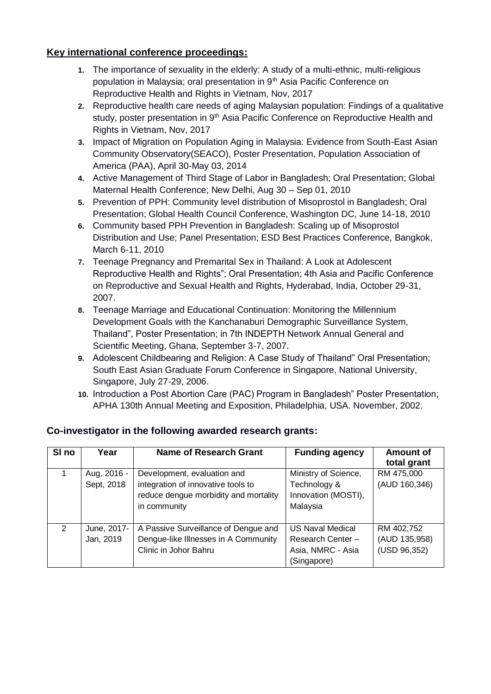### **Key international conference proceedings:**

- **1.** The importance of sexuality in the elderly: A study of a multi-ethnic, multi-religious population in Malaysia; oral presentation in 9<sup>th</sup> Asia Pacific Conference on Reproductive Health and Rights in Vietnam, Nov, 2017
- **2.** Reproductive health care needs of aging Malaysian population: Findings of a qualitative study, poster presentation in 9<sup>th</sup> Asia Pacific Conference on Reproductive Health and Rights in Vietnam, Nov, 2017
- **3.** Impact of Migration on Population Aging in Malaysia: Evidence from South-East Asian Community Observatory(SEACO), Poster Presentation, Population Association of America (PAA), April 30-May 03, 2014
- **4.** Active Management of Third Stage of Labor in Bangladesh; Oral Presentation; Global Maternal Health Conference; New Delhi, Aug 30 – Sep 01, 2010
- **5.** Prevention of PPH: Community level distribution of Misoprostol in Bangladesh; Oral Presentation; Global Health Council Conference, Washington DC, June 14-18, 2010
- **6.** Community based PPH Prevention in Bangladesh: Scaling up of Misoprostol Distribution and Use; Panel Presentation; ESD Best Practices Conference, Bangkok, March 6-11, 2010
- **7.** Teenage Pregnancy and Premarital Sex in Thailand: A Look at Adolescent Reproductive Health and Rights"; Oral Presentation; 4th Asia and Pacific Conference on Reproductive and Sexual Health and Rights, Hyderabad, India, October 29-31, 2007.
- **8.** Teenage Marriage and Educational Continuation: Monitoring the Millennium Development Goals with the Kanchanaburi Demographic Surveillance System, Thailand", Poster Presentation; in 7th INDEPTH Network Annual General and Scientific Meeting, Ghana, September 3-7, 2007.
- **9.** Adolescent Childbearing and Religion: A Case Study of Thailand" Oral Presentation; South East Asian Graduate Forum Conference in Singapore, National University, Singapore, July 27-29, 2006.
- **10.** Introduction a Post Abortion Care (PAC) Program in Bangladesh" Poster Presentation; APHA 130th Annual Meeting and Exposition, Philadelphia, USA. November, 2002.

| SI <sub>no</sub> | Year                      | <b>Name of Research Grant</b>                                                                                              | <b>Funding agency</b>                                                     | <b>Amount of</b><br>total grant             |
|------------------|---------------------------|----------------------------------------------------------------------------------------------------------------------------|---------------------------------------------------------------------------|---------------------------------------------|
|                  | Aug, 2016 -<br>Sept, 2018 | Development, evaluation and<br>integration of innovative tools to<br>reduce dengue morbidity and mortality<br>in community | Ministry of Science,<br>Technology &<br>Innovation (MOSTI),<br>Malaysia   | RM 475,000<br>(AUD 160,346)                 |
| 2                | June, 2017-<br>Jan, 2019  | A Passive Surveillance of Dengue and<br>Dengue-like Illnesses in A Community<br>Clinic in Johor Bahru                      | US Naval Medical<br>Research Center -<br>Asia, NMRC - Asia<br>(Singapore) | RM 402,752<br>(AUD 135,958)<br>(USD 96,352) |

# **Co-investigator in the following awarded research grants:**